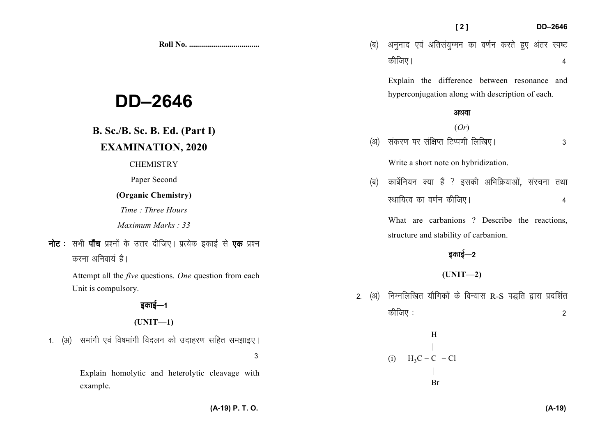|                                                                                                                                                                                                            | [2]<br>DD-2646                                                                                                                                                                                 |
|------------------------------------------------------------------------------------------------------------------------------------------------------------------------------------------------------------|------------------------------------------------------------------------------------------------------------------------------------------------------------------------------------------------|
|                                                                                                                                                                                                            | अनुनाद एवं अतिसंयुग्मन का वर्णन करते हुए अंतर स्पष्ट<br>(ब)<br>कीजिए।<br>4                                                                                                                     |
| <b>DD-2646</b>                                                                                                                                                                                             | Explain the difference between resonance and<br>hyperconjugation along with description of each.<br>अथवा                                                                                       |
| <b>B. Sc./B. Sc. B. Ed. (Part I)</b><br><b>EXAMINATION, 2020</b>                                                                                                                                           | (Or)<br>संकरण पर संक्षिप्त टिप्पणी लिखिए।<br>(3I)<br>3<br>Write a short note on hybridization.                                                                                                 |
| <b>CHEMISTRY</b><br>Paper Second<br>(Organic Chemistry)<br>Time: Three Hours<br>Maximum Marks: 33<br><b>नोट</b> : सभी <b>पाँच</b> प्रश्नों के उत्तर दीजिए। प्रत्येक इकाई से एक प्रश्न<br>करना अनिवार्य है। | कार्बेनियन क्या हैं ? इसकी अभिक्रियाओं, संरचना तथा<br>(ब)<br>स्थायित्व का वर्णन कीजिए।<br>4<br>What are carbanions? Describe the reactions,<br>structure and stability of carbanion.<br>इकाई—2 |
| Attempt all the <i>five</i> questions. One question from each<br>Unit is compulsory.<br>इकाई—1<br>$(UNIT-1)$<br>समांगी एवं विषमांगी विदलन को उदाहरण सहित समझाइए।<br>1. $(3)$                               | $(UNIT-2)$<br>निम्नलिखित यौगिकों के विन्यास R-S पद्धति द्वारा प्रदर्शित<br>(अ)<br>2.<br>कीजिए :<br>$\overline{2}$<br>H                                                                         |
| 3<br>Explain homolytic and heterolytic cleavage with<br>evample                                                                                                                                            | $H_3C - C - C1$<br>(i)<br>Br                                                                                                                                                                   |

Explain homolytic and heterolytic cleavage with example.

**(A-19)**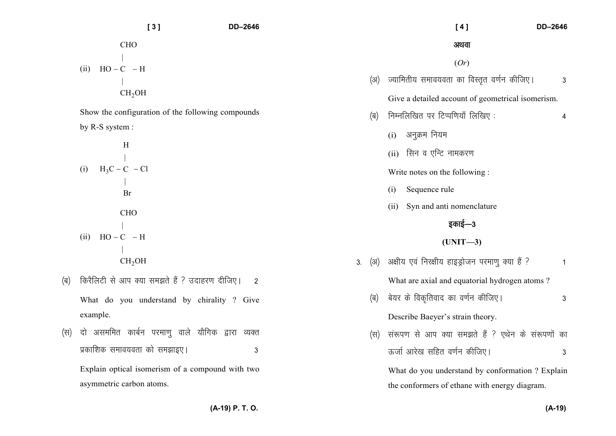**[ 3 ] DD–2646** (ii) 2CHOHO <sup>H</sup> <sup>C</sup> CH OH − − Show the configuration of the following compounds by R-S system : (i) 3H<sup>H</sup> <sup>C</sup> Cl <sup>C</sup> Br − − (ii) 2CHOHO <sup>H</sup> <sup>C</sup> CH OH − − *¼c½ fdjSfyVh ls vki D;k le>rs gSa \ mnkgj.k nhft,A 2* What do you understand by chirality ? Give example. *¼l½ nks vlefer dkcZu ijek.kq okys ;kSfxd }kjk O;Dr izdkf'kd leko;ork dks le>kb,A 3* Explain optical isomerism of a compound with two asymmetric carbon atoms.  **[ 4 ] DD–2646** *vFkok*(*Or*) *¼v½ T;kferh; leko;ork dk foLr`r o.kZu dhft,A 3* Give a detailed account of geometrical isomerism. *¼c½ fuEufyf[kr ij fVIif.k;k¡ fyf[k, % 4* (i) *vuqØe fu;e* (ii) *flu o ,fUV ukedj.k* Write notes on the following : (i) Sequence rule (ii) Syn and anti nomenclature *bdkbZ*&*<sup>3</sup>***(UNIT—3)** *3- ¼v½ v{kh; ,oa fuj{kh; gkbMªkstu ijek.kq D;k gSa \ 1* What are axial and equatorial hydrogen atoms ? *¼c½ cs;j ds fod`frokn dk o.kZu dhft,A 3* Describe Baeyer's strain theory. *¼l½ la:i.k ls vki D;k le>rs gSa \ ,Fksu ds la:i.kksa dk ÅtkZ vkjs[k lfgr o.kZu dhft,A 3* What do you understand by conformation ? Explain the conformers of ethane with energy diagram.

**(A-19) P. T. O.**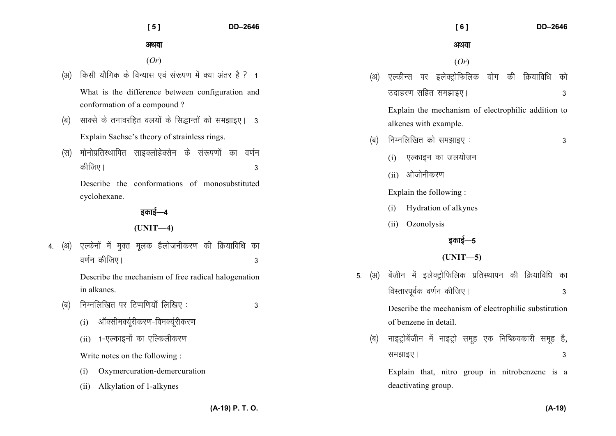| ×<br>۰. |  |
|---------|--|

## **[ 5 ] DD–2646**

अथवा

(*Or*)

(अ) किसी यौगिक के विन्यास एवं संरूपण में क्या अंतर है ? 1 What is the difference between configuration and

conformation of a compound ?

- *¼c½ lkDls ds rukojfgr oy;ksa ds fl)kUrksa dks le>kb,A 3* Explain Sachse's theory of strainless rings.
- *(*स) मोनोप्रतिस्थापित साइक्लोहेक्सेन के संरूपणों का वर्णन *dhft,A 3*

Describe the conformations of monosubstituted cyclohexane.

## *bdkbZ*&*<sup>4</sup>*

## **(UNIT—4)**

4. (अ) एल्केनों में मुक्त मुलक हैलोजनीकरण की क्रियाविधि का *o.k* $\frac{1}{2}$  and  $\frac{1}{2}$  and  $\frac{1}{2}$  and  $\frac{1}{2}$  and  $\frac{1}{2}$  and  $\frac{1}{2}$  and  $\frac{1}{2}$  and  $\frac{1}{2}$  and  $\frac{1}{2}$  and  $\frac{1}{2}$  and  $\frac{1}{2}$  and  $\frac{1}{2}$  and  $\frac{1}{2}$  and  $\frac{1}{2}$  and  $\frac{1}{2}$  and  $\frac{1}{$ 

> Describe the mechanism of free radical halogenationin alkanes.

- *¼c½ fuEufyf[kr ij fVIif.k;k¡ fyf[k, % 3* 
	- (i) *vkWDlheD;wZjhdj.k*&*foeD;Zwjhdj.k*
	- (ii) 1-एल्काइनों का एल्किलीकरण

Write notes on the following :

- (i) Oxymercuration-demercuration
- (ii) Alkylation of 1-alkynes

|        |     | [6]<br>DD-2646                                            |  |  |
|--------|-----|-----------------------------------------------------------|--|--|
|        |     | अथवा                                                      |  |  |
|        |     | (Or)                                                      |  |  |
|        | (अ) | एल्कीन्स पर इलेक्ट्रोफिलिक योग की क्रियाविधि<br>को        |  |  |
|        |     | उदाहरण सहित समझाइए।<br>3                                  |  |  |
|        |     | Explain the mechanism of electrophilic addition to        |  |  |
|        |     | alkenes with example.                                     |  |  |
|        | (ब) | निम्नलिखित को समझाइए:<br>3                                |  |  |
|        |     | (i) एल्काइन का जलयोजन                                     |  |  |
|        |     | (ii) ओजोनीकरण                                             |  |  |
|        |     | Explain the following:                                    |  |  |
|        |     | Hydration of alkynes<br>(i)                               |  |  |
|        |     | (ii)<br>Ozonolysis                                        |  |  |
| इकाई—5 |     |                                                           |  |  |
|        |     | $(UNIT-5)$                                                |  |  |
| 5.     | (अ) | बेंजीन में इलेक्ट्रोफिलिक प्रतिस्थापन की क्रियाविधि<br>का |  |  |
|        |     | विस्तारपूर्वक वर्णन कीजिए।<br>3                           |  |  |
|        |     | Describe the mechanism of electrophilic substitution      |  |  |
|        |     | of benzene in detail.                                     |  |  |
|        | (ब) | नाइट्रोबेंजीन में नाइट्रो समूह एक निष्क्रियकारी समूह है,  |  |  |
|        |     | समझाइए।<br>3                                              |  |  |
|        |     | Explain that, nitro group in nitrobenzene<br>is<br>a      |  |  |

deactivating group.